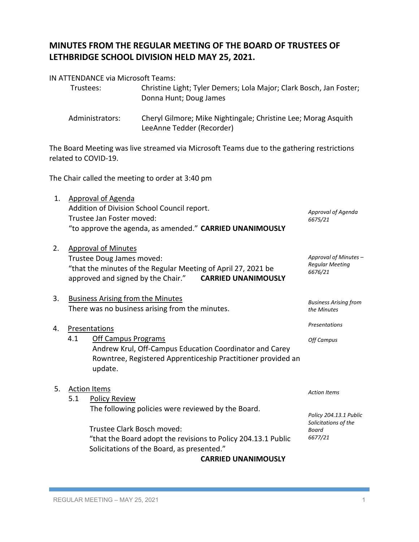# **MINUTES FROM THE REGULAR MEETING OF THE BOARD OF TRUSTEES OF LETHBRIDGE SCHOOL DIVISION HELD MAY 25, 2021.**

## IN ATTENDANCE via Microsoft Teams:

| Trustees:       | Christine Light; Tyler Demers; Lola Major; Clark Bosch, Jan Foster;<br>Donna Hunt; Doug James |
|-----------------|-----------------------------------------------------------------------------------------------|
| Administrators: | Cheryl Gilmore: Mike Nightingale: Christine Lee: Morag Asquith                                |

Administrators: Cheryl Gilmore; Mike Nightingale; Christine Lee; Morag Asquith LeeAnne Tedder (Recorder)

The Board Meeting was live streamed via Microsoft Teams due to the gathering restrictions related to COVID-19.

The Chair called the meeting to order at 3:40 pm

- 1. Approval of Agenda Addition of Division School Council report. Trustee Jan Foster moved: "to approve the agenda, as amended." **CARRIED UNANIMOUSLY** *Approval of Agenda 6675/21*
- 2. Approval of Minutes Trustee Doug James moved: "that the minutes of the Regular Meeting of April 27, 2021 be approved and signed by the Chair." **CARRIED UNANIMOUSLY**
- 3. Business Arising from the Minutes There was no business arising from the minutes.

# 4. Presentations

4.1 Off Campus Programs Andrew Krul, Off-Campus Education Coordinator and Carey Rowntree, Registered Apprenticeship Practitioner provided an update.

## 5. Action Items

5.1 Policy Review The following policies were reviewed by the Board.

> Trustee Clark Bosch moved: "that the Board adopt the revisions to Policy 204.13.1 Public Solicitations of the Board, as presented."

**CARRIED UNANIMOUSLY**

*Action Items*

*Policy 204.13.1 Public Solicitations of the Board 6677/21*

*Approval of Minutes – Regular Meeting 6676/21*

*Business Arising from* 

*the Minutes*

*Presentations*

*Off Campus*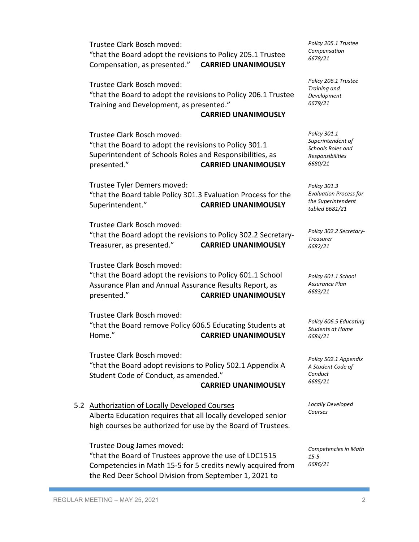Trustee Clark Bosch moved: "that the Board adopt the revisions to Policy 205.1 Trustee Compensation, as presented." **CARRIED UNANIMOUSLY**

Trustee Clark Bosch moved: "that the Board to adopt the revisions to Policy 206.1 Trustee Training and Development, as presented."

#### **CARRIED UNANIMOUSLY**

Trustee Clark Bosch moved: "that the Board to adopt the revisions to Policy 301.1 Superintendent of Schools Roles and Responsibilities, as presented." **CARRIED UNANIMOUSLY**

Trustee Tyler Demers moved: "that the Board table Policy 301.3 Evaluation Process for the Superintendent." **CARRIED UNANIMOUSLY**

Trustee Clark Bosch moved: "that the Board adopt the revisions to Policy 302.2 Secretary-Treasurer, as presented." **CARRIED UNANIMOUSLY**

Trustee Clark Bosch moved:

"that the Board adopt the revisions to Policy 601.1 School Assurance Plan and Annual Assurance Results Report, as presented." **CARRIED UNANIMOUSLY**

Trustee Clark Bosch moved: "that the Board remove Policy 606.5 Educating Students at Home." **CARRIED UNANIMOUSLY**

Trustee Clark Bosch moved: "that the Board adopt revisions to Policy 502.1 Appendix A Student Code of Conduct, as amended."

### **CARRIED UNANIMOUSLY**

5.2 Authorization of Locally Developed Courses Alberta Education requires that all locally developed senior high courses be authorized for use by the Board of Trustees.

Trustee Doug James moved: "that the Board of Trustees approve the use of LDC1515 Competencies in Math 15-5 for 5 credits newly acquired from the Red Deer School Division from September 1, 2021 to

*Policy 205.1 Trustee Compensation 6678/21*

*Policy 206.1 Trustee Training and Development 6679/21*

*Policy 301.1 Superintendent of Schools Roles and Responsibilities 6680/21*

*Policy 301.3 Evaluation Process for the Superintendent tabled 6681/21*

*Policy 302.2 Secretary-Treasurer 6682/21*

*Policy 601.1 School Assurance Plan 6683/21*

*Policy 606.5 Educating Students at Home 6684/21*

*Policy 502.1 Appendix A Student Code of Conduct 6685/21*

*Locally Developed Courses*

*Competencies in Math 15-5 6686/21*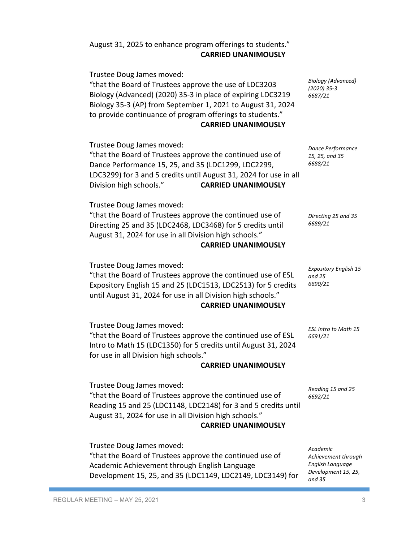| "that the Board of Trustees approve the continued use of<br>Directing 25 and 35 (LDC2468, LDC3468) for 5 credits until<br>August 31, 2024 for use in all Division high schools."<br><b>CARRIED UNANIMOUSLY</b>                                           | Directing 25 and 3<br>6689/21                                                 |
|----------------------------------------------------------------------------------------------------------------------------------------------------------------------------------------------------------------------------------------------------------|-------------------------------------------------------------------------------|
| Trustee Doug James moved:<br>"that the Board of Trustees approve the continued use of ESL<br>Expository English 15 and 25 (LDC1513, LDC2513) for 5 credits<br>until August 31, 2024 for use in all Division high schools."<br><b>CARRIED UNANIMOUSLY</b> | <b>Expository English</b><br>and 25<br>6690/21                                |
| Trustee Doug James moved:<br>"that the Board of Trustees approve the continued use of ESL<br>Intro to Math 15 (LDC1350) for 5 credits until August 31, 2024<br>for use in all Division high schools."                                                    | <b>ESL Intro to Math</b><br>6691/21                                           |
| <b>CARRIED UNANIMOUSLY</b>                                                                                                                                                                                                                               |                                                                               |
| Trustee Doug James moved:<br>"that the Board of Trustees approve the continued use of<br>Reading 15 and 25 (LDC1148, LDC2148) for 3 and 5 credits until<br>August 31, 2024 for use in all Division high schools."<br><b>CARRIED UNANIMOUSLY</b>          | Reading 15 and 25<br>6692/21                                                  |
| Trustee Doug James moved:<br>"that the Board of Trustees approve the continued use of<br>Academic Achievement through English Language<br>Development 15, 25, and 35 (LDC1149, LDC2149, LDC3149) for                                                     | Academic<br>Achievement thro<br>English Language<br>Development 15,<br>and 35 |
|                                                                                                                                                                                                                                                          |                                                                               |

Trustee Doug James moved: "that the Board of Trustees approve the continued use of Dance Performance 15, 25, and 35 (LDC1299, LDC2299, LDC3299) for 3 and 5 credits until August 31, 2024 for use in all Division high schools." **CARRIED UNANIMOUSLY**

# **CARRIED UNANIMOUSLY**

"that the Board of Trustees approve the use of LDC3203 Biology (Advanced) (2020) 35-3 in place of expiring LDC3219 Biology 35-3 (AP) from September 1, 2021 to August 31, 2024 to provide continuance of program offerings to students."

*Biology (Advanced) (2020) 35-3 6687/21*

*Dance Performance 15, 25, and 35 6688/21*

*Directing 25 and 35*

*Expository English 15* 

*ESL Intro to Math 15* 

*Achievement through English Language Development 15, 25,* 

# August 31, 2025 to enhance program offerings to students." **CARRIED UNANIMOUSLY**

Trustee Doug James moved:

Trustee Doug James moved: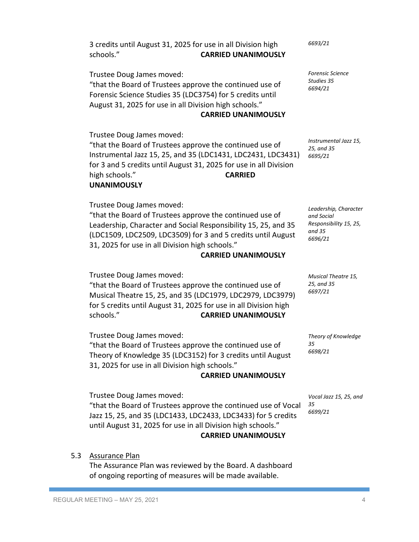## 5.3 Assurance Plan

The Assurance Plan was reviewed by the Board. A dashboard of ongoing reporting of measures will be made available.

Trustee Doug James moved: "that the Board of Trustees approve the continued use of Vocal Jazz 15, 25, and 35 (LDC1433, LDC2433, LDC3433) for 5 credits until August 31, 2025 for use in all Division high schools."

*Vocal Jazz 15, 25, and 35*

**CARRIED UNANIMOUSLY**

**CARRIED UNANIMOUSLY**

"that the Board of Trustees approve the continued use of Theory of Knowledge 35 (LDC3152) for 3 credits until August 31, 2025 for use in all Division high schools."

Musical Theatre 15, 25, and 35 (LDC1979, LDC2979, LDC3979) for 5 credits until August 31, 2025 for use in all Division high schools." **CARRIED UNANIMOUSLY**

Trustee Doug James moved: "that the Board of Trustees approve the continued use of

## **CARRIED UNANIMOUSLY**

**CARRIED UNANIMOUSLY**

"that the Board of Trustees approve the continued use of Leadership, Character and Social Responsibility 15, 25, and 35 (LDC1509, LDC2509, LDC3509) for 3 and 5 credits until August 31, 2025 for use in all Division high schools."

# **UNANIMOUSLY**

Trustee Doug James moved:

Trustee Doug James moved:

"that the Board of Trustees approve the continued use of Instrumental Jazz 15, 25, and 35 (LDC1431, LDC2431, LDC3431) for 3 and 5 credits until August 31, 2025 for use in all Division high schools." **CARRIED**

Trustee Doug James moved:

Trustee Doug James moved: "that the Board of Trustees approve the continued use of Forensic Science Studies 35 (LDC3754) for 5 credits until August 31, 2025 for use in all Division high schools."

3 credits until August 31, 2025 for use in all Division high schools." **CARRIED UNANIMOUSLY**

> *Forensic Science Studies 35 6694/21*

*Instrumental Jazz 15, 25, and 35 6695/21*

*Leadership, Character and Social Responsibility 15, 25, and 35 6696/21*

*Musical Theatre 15, 25, and 35 6697/21*

*Theory of Knowledge 35 6698/21*

*6699/21*

*6693/21*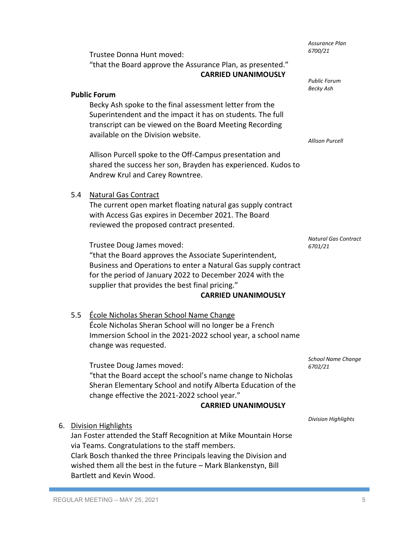|    | <b>Public Forum</b>                                                                                                                                                                                                                                                                                             |                                                                                                                                                                                                                                                                                                    |                                        |  |
|----|-----------------------------------------------------------------------------------------------------------------------------------------------------------------------------------------------------------------------------------------------------------------------------------------------------------------|----------------------------------------------------------------------------------------------------------------------------------------------------------------------------------------------------------------------------------------------------------------------------------------------------|----------------------------------------|--|
|    |                                                                                                                                                                                                                                                                                                                 | Becky Ash spoke to the final assessment letter from the<br>Superintendent and the impact it has on students. The full<br>transcript can be viewed on the Board Meeting Recording<br>available on the Division website.                                                                             | <b>Allison Purcell</b>                 |  |
|    |                                                                                                                                                                                                                                                                                                                 | Allison Purcell spoke to the Off-Campus presentation and<br>shared the success her son, Brayden has experienced. Kudos to<br>Andrew Krul and Carey Rowntree.                                                                                                                                       |                                        |  |
|    | 5.4                                                                                                                                                                                                                                                                                                             | <b>Natural Gas Contract</b>                                                                                                                                                                                                                                                                        |                                        |  |
|    |                                                                                                                                                                                                                                                                                                                 | The current open market floating natural gas supply contract<br>with Access Gas expires in December 2021. The Board<br>reviewed the proposed contract presented.                                                                                                                                   |                                        |  |
|    |                                                                                                                                                                                                                                                                                                                 | Trustee Doug James moved:<br>"that the Board approves the Associate Superintendent,<br>Business and Operations to enter a Natural Gas supply contract<br>for the period of January 2022 to December 2024 with the<br>supplier that provides the best final pricing."<br><b>CARRIED UNANIMOUSLY</b> | <b>Natural Gas Contract</b><br>6701/21 |  |
|    | 5.5                                                                                                                                                                                                                                                                                                             | École Nicholas Sheran School Name Change<br>École Nicholas Sheran School will no longer be a French<br>Immersion School in the 2021-2022 school year, a school name<br>change was requested.                                                                                                       |                                        |  |
|    |                                                                                                                                                                                                                                                                                                                 | Trustee Doug James moved:<br>"that the Board accept the school's name change to Nicholas<br>Sheran Elementary School and notify Alberta Education of the<br>change effective the 2021-2022 school year."<br><b>CARRIED UNANIMOUSLY</b>                                                             | School Name Change<br>6702/21          |  |
| 6. |                                                                                                                                                                                                                                                                                                                 |                                                                                                                                                                                                                                                                                                    | <b>Division Highlights</b>             |  |
|    | Division Highlights<br>Jan Foster attended the Staff Recognition at Mike Mountain Horse<br>via Teams. Congratulations to the staff members.<br>Clark Bosch thanked the three Principals leaving the Division and<br>wished them all the best in the future - Mark Blankenstyn, Bill<br>Bartlett and Kevin Wood. |                                                                                                                                                                                                                                                                                                    |                                        |  |
|    |                                                                                                                                                                                                                                                                                                                 | REGULAR MEETING - MAY 25, 2021                                                                                                                                                                                                                                                                     | 5                                      |  |
|    |                                                                                                                                                                                                                                                                                                                 |                                                                                                                                                                                                                                                                                                    |                                        |  |

"that the Board approve the Assurance Plan, as presented."

**CARRIED UNANIMOUSLY**

Trustee Donna Hunt moved:

*Assurance Plan 6700/21*

*Public Forum Becky Ash*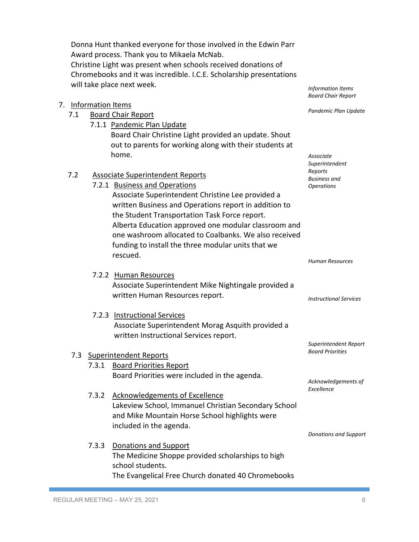REGULAR MEETING – MAY 25, 2021 **6** 

| 7.2 |       | <b>Associate Superintendent Reports</b><br>7.2.1 Business and Operations<br>Associate Superintendent Christine Lee provided a<br>written Business and Operations report in addition to<br>the Student Transportation Task Force report.<br>Alberta Education approved one modular classroom and<br>one washroom allocated to Coalbanks. We also received<br>funding to install the three modular units that we<br>rescued. | Superintendent<br>Reports<br><b>Business</b> and<br><b>Operations</b> |
|-----|-------|----------------------------------------------------------------------------------------------------------------------------------------------------------------------------------------------------------------------------------------------------------------------------------------------------------------------------------------------------------------------------------------------------------------------------|-----------------------------------------------------------------------|
|     |       |                                                                                                                                                                                                                                                                                                                                                                                                                            | <b>Human Resources</b>                                                |
|     |       | 7.2.2 Human Resources<br>Associate Superintendent Mike Nightingale provided a<br>written Human Resources report.                                                                                                                                                                                                                                                                                                           | <b>Instructional Services</b>                                         |
|     |       | 7.2.3 Instructional Services<br>Associate Superintendent Morag Asquith provided a<br>written Instructional Services report.                                                                                                                                                                                                                                                                                                |                                                                       |
|     |       | 7.3 Superintendent Reports                                                                                                                                                                                                                                                                                                                                                                                                 | Superintendent Repo<br><b>Board Priorities</b>                        |
|     | 7.3.1 | <b>Board Priorities Report</b>                                                                                                                                                                                                                                                                                                                                                                                             |                                                                       |
|     |       | Board Priorities were included in the agenda.                                                                                                                                                                                                                                                                                                                                                                              |                                                                       |
|     |       |                                                                                                                                                                                                                                                                                                                                                                                                                            | Acknowledgements c<br>Excellence                                      |
|     | 7.3.2 | <b>Acknowledgements of Excellence</b><br>Lakeview School, Immanuel Christian Secondary School<br>and Mike Mountain Horse School highlights were<br>included in the agenda.                                                                                                                                                                                                                                                 |                                                                       |
|     |       |                                                                                                                                                                                                                                                                                                                                                                                                                            | Donations and Suppo                                                   |
|     | 7.3.3 | <b>Donations and Support</b><br>The Medicine Shoppe provided scholarships to high<br>school students.<br>The Evangelical Free Church donated 40 Chromebooks                                                                                                                                                                                                                                                                |                                                                       |
|     |       |                                                                                                                                                                                                                                                                                                                                                                                                                            |                                                                       |

Donna Hunt thanked everyone for those involved in the Edwin Parr Award process. Thank you to Mikaela McNab. Christine Light was present when schools received donations of Chromebooks and it was incredible. I.C.E. Scholarship presentations will take place next week.

> Board Chair Christine Light provided an update. Shout out to parents for working along with their students at

7. Information Items

7.1 Board Chair Report

home.

7.1.1 Pandemic Plan Update

```
Information Items
Board Chair Report
```
*Associate* 

*Pandemic Plan Update*

*Superintendent Report*

 $of$ 

*Donations and Support*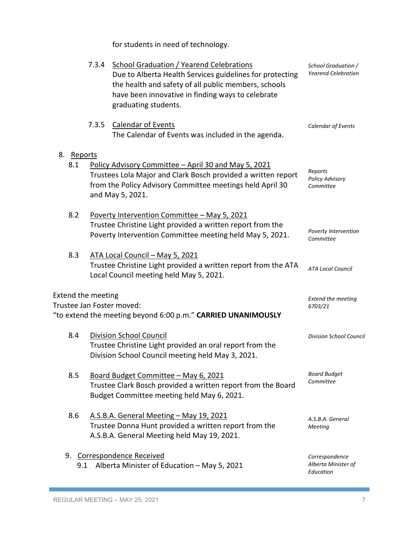for students in need of technology.

|                           | 7.3.4 | School Graduation / Yearend Celebrations<br>Due to Alberta Health Services guidelines for protecting<br>the health and safety of all public members, schools<br>have been innovative in finding ways to celebrate<br>graduating students. | School Graduation /<br><b>Yearend Celebration</b>  |
|---------------------------|-------|-------------------------------------------------------------------------------------------------------------------------------------------------------------------------------------------------------------------------------------------|----------------------------------------------------|
|                           | 7.3.5 | <b>Calendar of Events</b><br>The Calendar of Events was included in the agenda.                                                                                                                                                           | Calendar of Events                                 |
| 8. Reports<br>8.1         |       | Policy Advisory Committee - April 30 and May 5, 2021<br>Trustees Lola Major and Clark Bosch provided a written report<br>from the Policy Advisory Committee meetings held April 30<br>and May 5, 2021.                                    | Reports<br><b>Policy Advisory</b><br>Committee     |
| 8.2                       |       | Poverty Intervention Committee - May 5, 2021<br>Trustee Christine Light provided a written report from the<br>Poverty Intervention Committee meeting held May 5, 2021.                                                                    | Poverty Intervention<br>Committee                  |
| 8.3                       |       | ATA Local Council - May 5, 2021<br>Trustee Christine Light provided a written report from the ATA<br>Local Council meeting held May 5, 2021.                                                                                              | <b>ATA Local Council</b>                           |
| <b>Extend the meeting</b> |       | Trustee Jan Foster moved:<br>"to extend the meeting beyond 6:00 p.m." CARRIED UNANIMOUSLY                                                                                                                                                 | <b>Extend the meeting</b><br>6703/21               |
| 8.4                       |       | <b>Division School Council</b><br>Trustee Christine Light provided an oral report from the<br>Division School Council meeting held May 3, 2021.                                                                                           | <b>Division School Council</b>                     |
| 8.5                       |       | Board Budget Committee - May 6, 2021<br>Trustee Clark Bosch provided a written report from the Board<br>Budget Committee meeting held May 6, 2021.                                                                                        | <b>Board Budget</b><br>Committee                   |
| 8.6                       |       | A.S.B.A. General Meeting - May 19, 2021<br>Trustee Donna Hunt provided a written report from the<br>A.S.B.A. General Meeting held May 19, 2021.                                                                                           | A.S.B.A. General<br>Meeting                        |
| 9.1                       |       | 9. Correspondence Received<br>Alberta Minister of Education - May 5, 2021                                                                                                                                                                 | Correspondence<br>Alberta Minister of<br>Education |